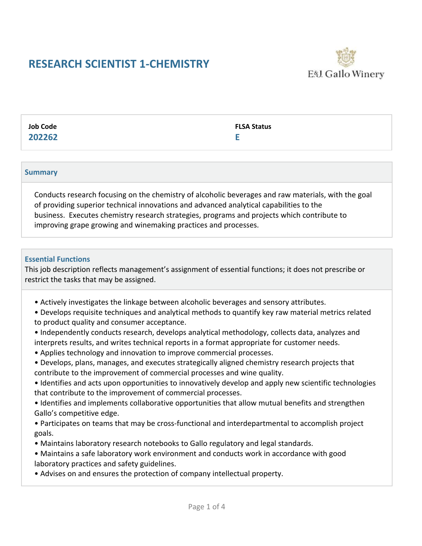# **RESEARCH SCIENTIST 1-CHEMISTRY**



**Job Code 202262** **FLSA Status**

**E**

**Summary**

Conducts research focusing on the chemistry of alcoholic beverages and raw materials, with the goal of providing superior technical innovations and advanced analytical capabilities to the business. Executes chemistry research strategies, programs and projects which contribute to improving grape growing and winemaking practices and processes.

#### **Essential Functions**

This job description reflects management's assignment of essential functions; it does not prescribe or restrict the tasks that may be assigned.

- Actively investigates the linkage between alcoholic beverages and sensory attributes.
- Develops requisite techniques and analytical methods to quantify key raw material metrics related to product quality and consumer acceptance.
- Independently conducts research, develops analytical methodology, collects data, analyzes and interprets results, and writes technical reports in a format appropriate for customer needs.
- Applies technology and innovation to improve commercial processes.
- Develops, plans, manages, and executes strategically aligned chemistry research projects that contribute to the improvement of commercial processes and wine quality.
- Identifies and acts upon opportunities to innovatively develop and apply new scientific technologies that contribute to the improvement of commercial processes.
- Identifies and implements collaborative opportunities that allow mutual benefits and strengthen Gallo's competitive edge.
- Participates on teams that may be cross-functional and interdepartmental to accomplish project goals.
- Maintains laboratory research notebooks to Gallo regulatory and legal standards.
- Maintains a safe laboratory work environment and conducts work in accordance with good laboratory practices and safety guidelines.
- Advises on and ensures the protection of company intellectual property.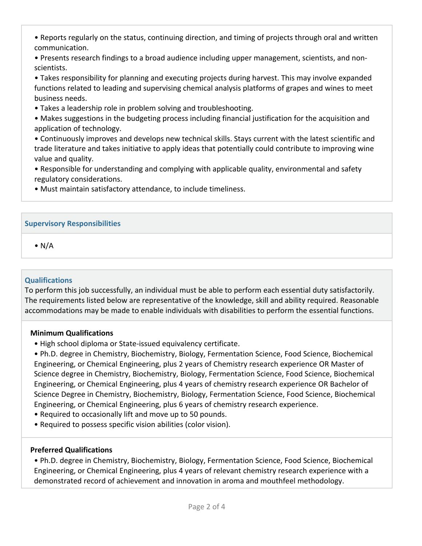• Reports regularly on the status, continuing direction, and timing of projects through oral and written communication.

• Presents research findings to a broad audience including upper management, scientists, and nonscientists.

• Takes responsibility for planning and executing projects during harvest. This may involve expanded functions related to leading and supervising chemical analysis platforms of grapes and wines to meet business needs.

• Takes a leadership role in problem solving and troubleshooting.

• Makes suggestions in the budgeting process including financial justification for the acquisition and application of technology.

• Continuously improves and develops new technical skills. Stays current with the latest scientific and trade literature and takes initiative to apply ideas that potentially could contribute to improving wine value and quality.

• Responsible for understanding and complying with applicable quality, environmental and safety regulatory considerations.

• Must maintain satisfactory attendance, to include timeliness.

### **Supervisory Responsibilities**

 $\bullet$  N/A

### **Qualifications**

To perform this job successfully, an individual must be able to perform each essential duty satisfactorily. The requirements listed below are representative of the knowledge, skill and ability required. Reasonable accommodations may be made to enable individuals with disabilities to perform the essential functions.

### **Minimum Qualifications**

• High school diploma or State-issued equivalency certificate.

• Ph.D. degree in Chemistry, Biochemistry, Biology, Fermentation Science, Food Science, Biochemical Engineering, or Chemical Engineering, plus 2 years of Chemistry research experience OR Master of Science degree in Chemistry, Biochemistry, Biology, Fermentation Science, Food Science, Biochemical Engineering, or Chemical Engineering, plus 4 years of chemistry research experience OR Bachelor of Science Degree in Chemistry, Biochemistry, Biology, Fermentation Science, Food Science, Biochemical Engineering, or Chemical Engineering, plus 6 years of chemistry research experience.

- Required to occasionally lift and move up to 50 pounds.
- Required to possess specific vision abilities (color vision).

### **Preferred Qualifications**

• Ph.D. degree in Chemistry, Biochemistry, Biology, Fermentation Science, Food Science, Biochemical Engineering, or Chemical Engineering, plus 4 years of relevant chemistry research experience with a demonstrated record of achievement and innovation in aroma and mouthfeel methodology.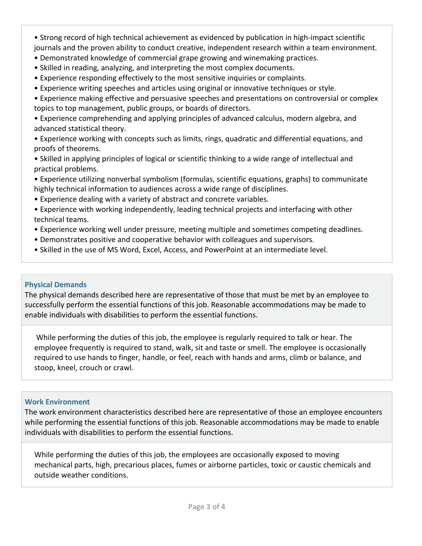• Strong record of high technical achievement as evidenced by publication in high-impact scientific journals and the proven ability to conduct creative, independent research within a team environment.

- Demonstrated knowledge of commercial grape growing and winemaking practices.
- Skilled in reading, analyzing, and interpreting the most complex documents.
- Experience responding effectively to the most sensitive inquiries or complaints.
- Experience writing speeches and articles using original or innovative techniques or style.
- Experience making effective and persuasive speeches and presentations on controversial or complex topics to top management, public groups, or boards of directors.

• Experience comprehending and applying principles of advanced calculus, modern algebra, and advanced statistical theory.

• Experience working with concepts such as limits, rings, quadratic and differential equations, and proofs of theorems.

• Skilled in applying principles of logical or scientific thinking to a wide range of intellectual and practical problems.

- Experience utilizing nonverbal symbolism (formulas, scientific equations, graphs) to communicate highly technical information to audiences across a wide range of disciplines.
- Experience dealing with a variety of abstract and concrete variables.
- Experience with working independently, leading technical projects and interfacing with other technical teams.
- Experience working well under pressure, meeting multiple and sometimes competing deadlines.
- Demonstrates positive and cooperative behavior with colleagues and supervisors.
- Skilled in the use of MS Word, Excel, Access, and PowerPoint at an intermediate level.

## **Physical Demands**

The physical demands described here are representative of those that must be met by an employee to successfully perform the essential functions of this job. Reasonable accommodations may be made to enable individuals with disabilities to perform the essential functions.

While performing the duties of this job, the employee is regularly required to talk or hear. The employee frequently is required to stand, walk, sit and taste or smell. The employee is occasionally required to use hands to finger, handle, or feel, reach with hands and arms, climb or balance, and stoop, kneel, crouch or crawl.

### **Work Environment**

The work environment characteristics described here are representative of those an employee encounters while performing the essential functions of this job. Reasonable accommodations may be made to enable individuals with disabilities to perform the essential functions.

While performing the duties of this job, the employees are occasionally exposed to moving mechanical parts, high, precarious places, fumes or airborne particles, toxic or caustic chemicals and outside weather conditions.